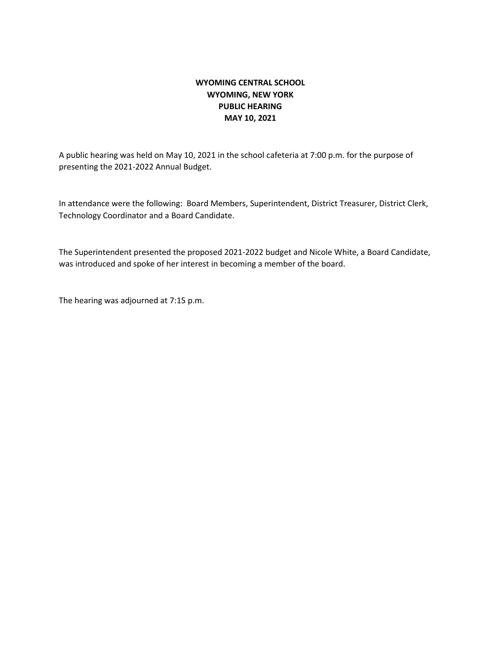## **WYOMING CENTRAL SCHOOL WYOMING, NEW YORK PUBLIC HEARING MAY 10, 2021**

A public hearing was held on May 10, 2021 in the school cafeteria at 7:00 p.m. for the purpose of presenting the 2021-2022 Annual Budget.

In attendance were the following: Board Members, Superintendent, District Treasurer, District Clerk, Technology Coordinator and a Board Candidate.

The Superintendent presented the proposed 2021-2022 budget and Nicole White, a Board Candidate, was introduced and spoke of her interest in becoming a member of the board.

The hearing was adjourned at 7:15 p.m.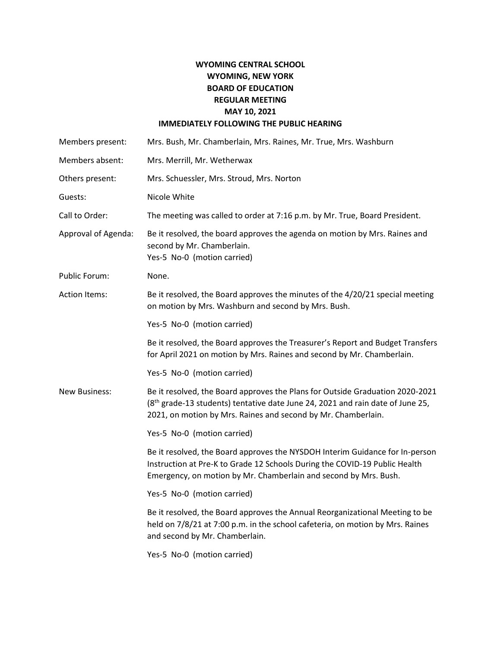## **WYOMING CENTRAL SCHOOL WYOMING, NEW YORK BOARD OF EDUCATION REGULAR MEETING MAY 10, 2021 IMMEDIATELY FOLLOWING THE PUBLIC HEARING**

| Members present:     | Mrs. Bush, Mr. Chamberlain, Mrs. Raines, Mr. True, Mrs. Washburn                                                                                                                                                                             |
|----------------------|----------------------------------------------------------------------------------------------------------------------------------------------------------------------------------------------------------------------------------------------|
| Members absent:      | Mrs. Merrill, Mr. Wetherwax                                                                                                                                                                                                                  |
| Others present:      | Mrs. Schuessler, Mrs. Stroud, Mrs. Norton                                                                                                                                                                                                    |
| Guests:              | Nicole White                                                                                                                                                                                                                                 |
| Call to Order:       | The meeting was called to order at 7:16 p.m. by Mr. True, Board President.                                                                                                                                                                   |
| Approval of Agenda:  | Be it resolved, the board approves the agenda on motion by Mrs. Raines and<br>second by Mr. Chamberlain.<br>Yes-5 No-0 (motion carried)                                                                                                      |
| Public Forum:        | None.                                                                                                                                                                                                                                        |
| <b>Action Items:</b> | Be it resolved, the Board approves the minutes of the 4/20/21 special meeting<br>on motion by Mrs. Washburn and second by Mrs. Bush.                                                                                                         |
|                      | Yes-5 No-0 (motion carried)                                                                                                                                                                                                                  |
|                      | Be it resolved, the Board approves the Treasurer's Report and Budget Transfers<br>for April 2021 on motion by Mrs. Raines and second by Mr. Chamberlain.                                                                                     |
|                      | Yes-5 No-0 (motion carried)                                                                                                                                                                                                                  |
| <b>New Business:</b> | Be it resolved, the Board approves the Plans for Outside Graduation 2020-2021<br>(8 <sup>th</sup> grade-13 students) tentative date June 24, 2021 and rain date of June 25,<br>2021, on motion by Mrs. Raines and second by Mr. Chamberlain. |
|                      | Yes-5 No-0 (motion carried)                                                                                                                                                                                                                  |
|                      | Be it resolved, the Board approves the NYSDOH Interim Guidance for In-person<br>Instruction at Pre-K to Grade 12 Schools During the COVID-19 Public Health<br>Emergency, on motion by Mr. Chamberlain and second by Mrs. Bush.               |
|                      | Yes-5 No-0 (motion carried)                                                                                                                                                                                                                  |
|                      | Be it resolved, the Board approves the Annual Reorganizational Meeting to be<br>held on 7/8/21 at 7:00 p.m. in the school cafeteria, on motion by Mrs. Raines<br>and second by Mr. Chamberlain.                                              |
|                      | Yes-5 No-0 (motion carried)                                                                                                                                                                                                                  |